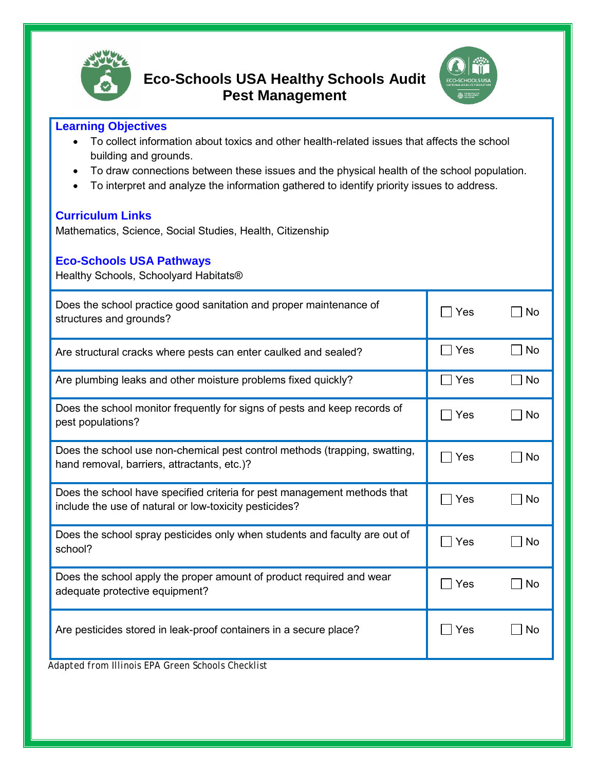

**Eco-Schools USA Healthy Schools Audit Pest Management**



## **Learning Objectives**

- To collect information about toxics and other health-related issues that affects the school building and grounds.
- To draw connections between these issues and the physical health of the school population.
- To interpret and analyze the information gathered to identify priority issues to address.

## **Curriculum Links**

Mathematics, Science, Social Studies, Health, Citizenship

## **Eco-Schools USA Pathways**

Healthy Schools, Schoolyard Habitats®

| Does the school practice good sanitation and proper maintenance of<br>structures and grounds?                                      | Yes                   | No  |
|------------------------------------------------------------------------------------------------------------------------------------|-----------------------|-----|
| Are structural cracks where pests can enter caulked and sealed?                                                                    | $\Box$ Yes            | No  |
| Are plumbing leaks and other moisture problems fixed quickly?                                                                      | Yes<br>$\blacksquare$ | No  |
| Does the school monitor frequently for signs of pests and keep records of<br>pest populations?                                     | Yes                   | No  |
| Does the school use non-chemical pest control methods (trapping, swatting,<br>hand removal, barriers, attractants, etc.)?          | Yes                   | No  |
| Does the school have specified criteria for pest management methods that<br>include the use of natural or low-toxicity pesticides? | Yes                   | No. |
| Does the school spray pesticides only when students and faculty are out of<br>school?                                              | Yes                   | No  |
| Does the school apply the proper amount of product required and wear<br>adequate protective equipment?                             | Yes                   | No  |
| Are pesticides stored in leak-proof containers in a secure place?                                                                  | Yes                   | No  |
| Adapted from Illinois EPA Green Schools Checklist                                                                                  |                       |     |